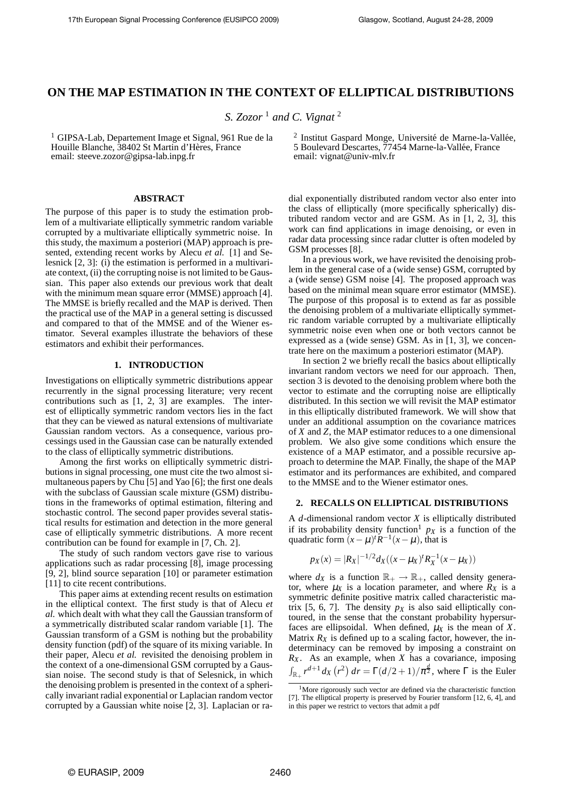# **ON THE MAP ESTIMATION IN THE CONTEXT OF ELLIPTICAL DISTRIBUTIONS**

*S. Zozor* <sup>1</sup> *and C. Vignat* <sup>2</sup>

<sup>1</sup> GIPSA-Lab, Departement Image et Signal, 961 Rue de la Houille Blanche, 38402 St Martin d'Hères, France email: steeve.zozor@gipsa-lab.inpg.fr

#### **ABSTRACT**

The purpose of this paper is to study the estimation problem of a multivariate elliptically symmetric random variable corrupted by a multivariate elliptically symmetric noise. In this study, the maximum a posteriori (MAP) approach is presented, extending recent works by Alecu *et al.* [1] and Selesnick [2, 3]: (i) the estimation is performed in a multivariate context, (ii) the corrupting noise is not limited to be Gaussian. This paper also extends our previous work that dealt with the minimum mean square error (MMSE) approach [4]. The MMSE is briefly recalled and the MAP is derived. Then the practical use of the MAP in a general setting is discussed and compared to that of the MMSE and of the Wiener estimator. Several examples illustrate the behaviors of these estimators and exhibit their performances.

## **1. INTRODUCTION**

Investigations on elliptically symmetric distributions appear recurrently in the signal processing literature; very recent contributions such as [1, 2, 3] are examples. The interest of elliptically symmetric random vectors lies in the fact that they can be viewed as natural extensions of multivariate Gaussian random vectors. As a consequence, various processings used in the Gaussian case can be naturally extended to the class of elliptically symmetric distributions.

Among the first works on elliptically symmetric distributions in signal processing, one must cite the two almost simultaneous papers by Chu [5] and Yao [6]; the first one deals with the subclass of Gaussian scale mixture (GSM) distributions in the frameworks of optimal estimation, filtering and stochastic control. The second paper provides several statistical results for estimation and detection in the more general case of elliptically symmetric distributions. A more recent contribution can be found for example in [7, Ch. 2].

The study of such random vectors gave rise to various applications such as radar processing [8], image processing [9, 2], blind source separation [10] or parameter estimation [11] to cite recent contributions.

This paper aims at extending recent results on estimation in the elliptical context. The first study is that of Alecu *et al.* which dealt with what they call the Gaussian transform of a symmetrically distributed scalar random variable [1]. The Gaussian transform of a GSM is nothing but the probability density function (pdf) of the square of its mixing variable. In their paper, Alecu *et al.* revisited the denoising problem in the context of a one-dimensional GSM corrupted by a Gaussian noise. The second study is that of Selesnick, in which the denoising problem is presented in the context of a spherically invariant radial exponential or Laplacian random vector corrupted by a Gaussian white noise [2, 3]. Laplacian or ra-

<sup>2</sup> Institut Gaspard Monge, Université de Marne-la-Vallée, 5 Boulevard Descartes, 77454 Marne-la-Vallée, France email: vignat@univ-mlv.fr

dial exponentially distributed random vector also enter into the class of elliptically (more specifically spherically) distributed random vector and are GSM. As in [1, 2, 3], this work can find applications in image denoising, or even in radar data processing since radar clutter is often modeled by GSM processes [8].

In a previous work, we have revisited the denoising problem in the general case of a (wide sense) GSM, corrupted by a (wide sense) GSM noise [4]. The proposed approach was based on the minimal mean square error estimator (MMSE). The purpose of this proposal is to extend as far as possible the denoising problem of a multivariate elliptically symmetric random variable corrupted by a multivariate elliptically symmetric noise even when one or both vectors cannot be expressed as a (wide sense) GSM. As in [1, 3], we concentrate here on the maximum a posteriori estimator (MAP).

In section 2 we briefly recall the basics about elliptically invariant random vectors we need for our approach. Then, section 3 is devoted to the denoising problem where both the vector to estimate and the corrupting noise are elliptically distributed. In this section we will revisit the MAP estimator in this elliptically distributed framework. We will show that under an additional assumption on the covariance matrices of *X* and *Z*, the MAP estimator reduces to a one dimensional problem. We also give some conditions which ensure the existence of a MAP estimator, and a possible recursive approach to determine the MAP. Finally, the shape of the MAP estimator and its performances are exhibited, and compared to the MMSE and to the Wiener estimator ones.

#### **2. RECALLS ON ELLIPTICAL DISTRIBUTIONS**

A *d*-dimensional random vector *X* is elliptically distributed if its probability density function<sup>1</sup>  $p<sub>X</sub>$  is a function of the quadratic form  $(x - \mu)^t \dot{R}^{-1}(x - \mu)$ , that is

$$
p_X(x) = |R_X|^{-1/2} d_X((x - \mu_X)^t R_X^{-1}(x - \mu_X))
$$

where  $d_X$  is a function  $\mathbb{R}_+ \to \mathbb{R}_+$ , called density generator, where  $\mu_X$  is a location parameter, and where  $R_X$  is a symmetric definite positive matrix called characteristic matrix [5, 6, 7]. The density  $p<sub>X</sub>$  is also said elliptically contoured, in the sense that the constant probability hypersurfaces are ellipsoidal. When defined,  $\mu_X$  is the mean of *X*. Matrix  $R_X$  is defined up to a scaling factor, however, the indeterminacy can be removed by imposing a constraint on *R<sup>X</sup>* . As an example, when *X* has a covariance, imposing  $\int_{\mathbb{R}_+} r^{d+1} dx$   $(r^2) dr = \Gamma(d/2 + 1)/\pi^{\frac{d}{2}}$ , where  $\Gamma$  is the Euler

<sup>&</sup>lt;sup>1</sup>More rigorously such vector are defined via the characteristic function [7]. The elliptical property is preserved by Fourier transform [12, 6, 4], and in this paper we restrict to vectors that admit a pdf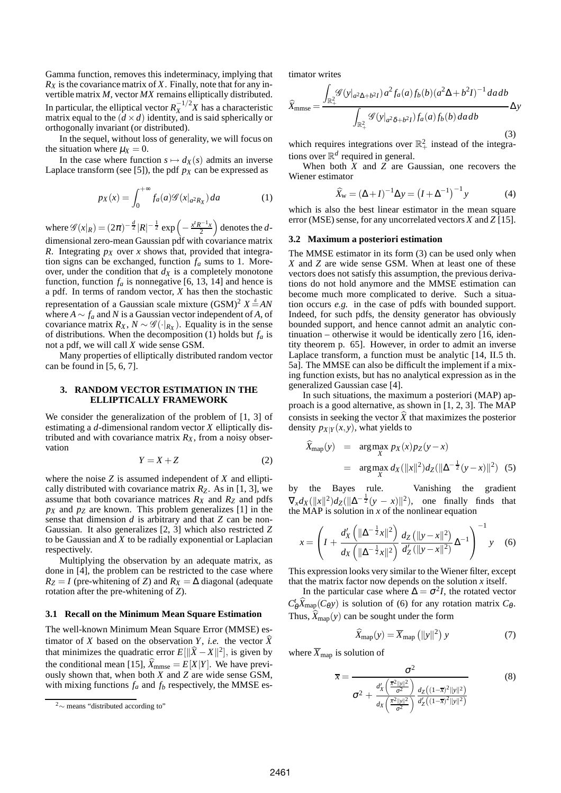Gamma function, removes this indeterminacy, implying that  $R_X$  is the covariance matrix of *X*. Finally, note that for any invertible matrix *M*, vector *MX* remains elliptically distributed. In particular, the elliptical vector  $R_X^{-1/2}X$  has a characteristic matrix equal to the  $(d \times d)$  identity, and is said spherically or orthogonally invariant (or distributed).

In the sequel, without loss of generality, we will focus on the situation where  $\mu_X = 0$ .

In the case where function  $s \mapsto d_X(s)$  admits an inverse Laplace transform (see [5]), the pdf  $p<sub>X</sub>$  can be expressed as

$$
p_X(x) = \int_0^{+\infty} f_a(a) \mathcal{G}(x|_{a^2 R_X}) da \tag{1}
$$

where  $\mathscr{G}(x|_R) = (2\pi)^{-\frac{d}{2}} |R|^{-\frac{1}{2}} \exp\left(-\frac{x^t R^{-1} x}{2}\right)$  $\big)$  denotes the *d*-

dimensional zero-mean Gaussian pdf with covariance matrix *R*. Integrating  $p_X$  over *x* shows that, provided that integration signs can be exchanged, function *f<sup>a</sup>* sums to 1. Moreover, under the condition that  $d<sub>X</sub>$  is a completely monotone function, function  $f_a$  is nonnegative [6, 13, 14] and hence is a pdf. In terms of random vector, *X* has then the stochastic representation of a Gaussian scale mixture  $(GSM)^2 X \stackrel{d}{=} AN$ where  $A \sim f_a$  and *N* is a Gaussian vector independent of *A*, of covariance matrix  $R_X$ ,  $N \sim \mathscr{G}(\cdot|_{R_X})$ . Equality is in the sense of distributions. When the decomposition (1) holds but *f<sup>a</sup>* is not a pdf, we will call *X* wide sense GSM.

Many properties of elliptically distributed random vector can be found in [5, 6, 7].

### **3. RANDOM VECTOR ESTIMATION IN THE ELLIPTICALLY FRAMEWORK**

We consider the generalization of the problem of [1, 3] of estimating a *d*-dimensional random vector *X* elliptically distributed and with covariance matrix  $R_X$ , from a noisy observation

$$
Y = X + Z \tag{2}
$$

where the noise *Z* is assumed independent of *X* and elliptically distributed with covariance matrix  $R_Z$ . As in [1, 3], we assume that both covariance matrices *R<sup>X</sup>* and *R<sup>Z</sup>* and pdfs  $p_X$  and  $p_Z$  are known. This problem generalizes [1] in the sense that dimension *d* is arbitrary and that *Z* can be non-Gaussian. It also generalizes [2, 3] which also restricted *Z* to be Gaussian and *X* to be radially exponential or Laplacian respectively.

Multiplying the observation by an adequate matrix, as done in [4], the problem can be restricted to the case where  $R_Z = I$  (pre-whitening of *Z*) and  $R_X = \Delta$  diagonal (adequate rotation after the pre-whitening of *Z*).

#### **3.1 Recall on the Minimum Mean Square Estimation**

The well-known Minimum Mean Square Error (MMSE) estimator of *X* based on the observation *Y*, *i.e.* the vector *X* that minimizes the quadratic error  $E[\|\hat{X} - X\|^2]$ , is given by the conditional mean [15],  $\widehat{X}_{mmse} = E[X|Y]$ . We have previously shown that, when both *X* and *Z* are wide sense GSM, with mixing functions  $f_a$  and  $f_b$  respectively, the MMSE estimator writes

$$
\widehat{X}_{mmse} = \frac{\int_{\mathbb{R}_+^2} \mathscr{G}(y|_{a^2\Delta+b^2I}) a^2 f_a(a) f_b(b) (a^2 \Delta + b^2 I)^{-1} da db}{\int_{\mathbb{R}_+^2} \mathscr{G}(y|_{a^2 \delta + b^2 I}) f_a(a) f_b(b) da db} \Delta y
$$
\n(3)

which requires integrations over  $\mathbb{R}^2_+$  instead of the integrations over  $\mathbb{R}^d$  required in general.

When both *X* and *Z* are Gaussian, one recovers the Wiener estimator

$$
\widehat{X}_{w} = (\Delta + I)^{-1} \Delta y = (I + \Delta^{-1})^{-1} y \tag{4}
$$

which is also the best linear estimator in the mean square error (MSE) sense, for any uncorrelated vectors *X* and *Z* [15].

#### **3.2 Maximum a posteriori estimation**

The MMSE estimator in its form (3) can be used only when *X* and *Z* are wide sense GSM. When at least one of these vectors does not satisfy this assumption, the previous derivations do not hold anymore and the MMSE estimation can become much more complicated to derive. Such a situation occurs *e.g.* in the case of pdfs with bounded support. Indeed, for such pdfs, the density generator has obviously bounded support, and hence cannot admit an analytic continuation – otherwise it would be identically zero [16, identity theorem p. 65]. However, in order to admit an inverse Laplace transform, a function must be analytic [14, II.5 th. 5a]. The MMSE can also be difficult the implement if a mixing function exists, but has no analytical expression as in the generalized Gaussian case [4].

In such situations, the maximum a posteriori (MAP) approach is a good alternative, as shown in [1, 2, 3]. The MAP consists in seeking the vector  $\hat{X}$  that maximizes the posterior density  $p_{X|Y}(x, y)$ , what yields to

$$
\hat{X}_{\text{map}}(y) = \underset{X}{\arg\max} \ p_X(x)p_Z(y-x) \n= \underset{X}{\arg\max} \ d_X(\|x\|^2) d_Z(\|\Delta^{-\frac{1}{2}}(y-x)\|^2) \tag{5}
$$

by the Bayes rule. Vanishing the gradient  $\nabla_x dx (\Vert x \Vert^2) dz (\Vert \Delta^{-\frac{1}{2}} (y - x) \Vert^2)$ , one finally finds that the MAP is solution in  $x$  of the nonlinear equation

$$
x = \left( I + \frac{d_X' \left( \|\Delta^{-\frac{1}{2}} x\|^2 \right)}{d_X \left( \|\Delta^{-\frac{1}{2}} x\|^2 \right)} \frac{d_Z \left( \|y - x\|^2 \right)}{d_Z' \left( \|y - x\|^2 \right)} \Delta^{-1} \right)^{-1} y \quad (6)
$$

This expression looks very similar to the Wiener filter, except that the matrix factor now depends on the solution  $x$  itself.

In the particular case where  $\Delta = \sigma^2 I$ , the rotated vector  $C_{\theta}^t \hat{X}_{\text{map}}(C_{\theta} y)$  is solution of (6) for any rotation matrix  $C_{\theta}$ . Thus,  $\widehat{X}_{\text{map}}(y)$  can be sought under the form

$$
\widehat{X}_{\text{map}}(y) = \overline{X}_{\text{map}}\left(\|y\|^2\right)y\tag{7}
$$

where  $\overline{X}_{\text{map}}$  is solution of

$$
\overline{x} = \frac{\sigma^2}{\sigma^2 + \frac{d'_X \left(\frac{\overline{x}^2 ||y||^2}{\sigma^2}\right)}{d_X \left(\frac{\overline{x}^2 ||y||^2}{\sigma^2}\right)} \frac{d_Z((1-\overline{x})^2 ||y||^2)}{d'_Z((1-\overline{x})^2 ||y||^2)}}
$$
(8)

<sup>2</sup><sup>∼</sup> means "distributed according to"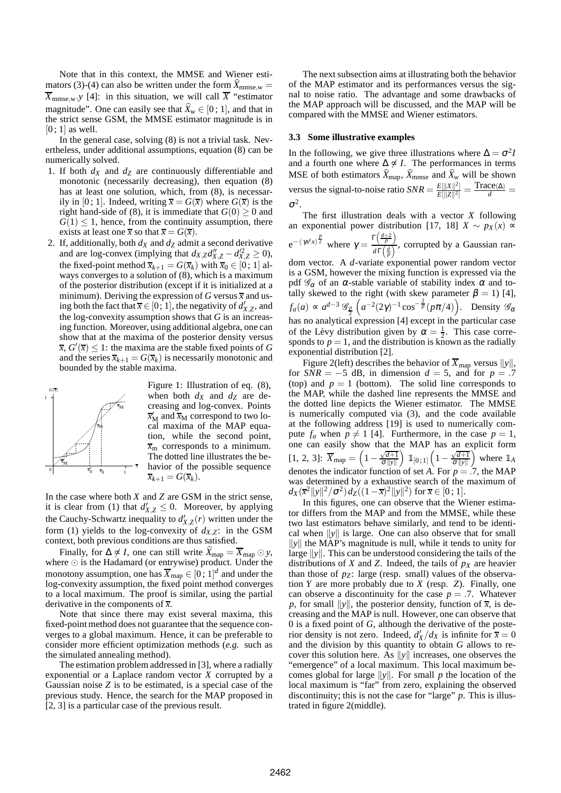Note that in this context, the MMSE and Wiener estimators (3)-(4) can also be written under the form  $\hat{X}_{mmse,w}$  =  $\overline{X}_{mmse,w}$  *y* [4]: in this situation, we will call  $\overline{X}$  "estimator magnitude". One can easily see that  $\hat{X}_w \in [0, 1]$ , and that in the strict sense GSM, the MMSE estimator magnitude is in  $[0:1]$  as well.

In the general case, solving  $(8)$  is not a trivial task. Nevertheless, under additional assumptions, equation (8) can be numerically solved.

- 1. If both *d<sup>X</sup>* and *d<sup>Z</sup>* are continuously differentiable and monotonic (necessarily decreasing), then equation (8) has at least one solution, which, from  $(8)$ , is necessarily in [0; 1]. Indeed, writing  $\bar{x} = G(\bar{x})$  where  $G(\bar{x})$  is the right hand-side of (8), it is immediate that  $G(0) > 0$  and  $G(1) \leq 1$ , hence, from the continuity assumption, there exists at least one  $\overline{x}$  so that  $\overline{x} = G(\overline{x})$ .
- 2. If, additionally, both  $d_X$  and  $d_Z$  admit a second derivative and are log-convex (implying that  $d_{X,Z}d''_{X,Z} - d'^{2}_{X,Z} \ge 0$ ), the fixed-point method  $\overline{x}_{k+1} = G(\overline{x}_k)$  with  $\overline{x}_0 \in [0; 1]$  always converges to a solution of (8), which is a maximum of the posterior distribution (except if it is initialized at a minimum). Deriving the expression of *G* versus  $\bar{x}$  and using both the fact that  $\overline{x} \in [0, 1]$ , the negativity of  $d'_{X, Z}$ , and the log-convexity assumption shows that *G* is an increasing function. Moreover, using additional algebra, one can show that at the maxima of the posterior density versus  $\overline{x}$ ,  $G'(\overline{x}) \leq 1$ : the maxima are the stable fixed points of *G* and the series  $\overline{x}_{k+1} = G(\overline{x}_k)$  is necessarily monotonic and bounded by the stable maxima.



Figure 1: Illustration of eq. (8), when both  $d_X$  and  $d_Z$  are decreasing and log-convex. Points  $\overline{x}_{\rm M}^{\prime}$  and  $\overline{x}_{\rm M}$  correspond to two local maxima of the MAP equation, while the second point,  $\bar{x}_{\rm m}$  corresponds to a minimum. The dotted line illustrates the behavior of the possible sequence  $\overline{x}_{k+1} = G(\overline{x}_k)$ .

In the case where both *X* and *Z* are GSM in the strict sense, it is clear from (1) that  $d'_{X,Z} \leq 0$ . Moreover, by applying the Cauchy-Schwartz inequality to  $d'_{X,Z}(r)$  written under the form (1) yields to the log-convexity of  $d_{X,Z}$ : in the GSM context, both previous conditions are thus satisfied.

Finally, for  $\Delta \not\leq I$ , one can still write  $X_{\text{map}} = \overline{X}_{\text{map}} \odot y$ , where  $\odot$  is the Hadamard (or entrywise) product. Under the monotony assumption, one has  $\overline{X}_{\text{map}} \in [0, 1]^d$  and under the log-convexity assumption, the fixed point method converges to a local maximum. The proof is similar, using the partial derivative in the components of *x*.

Note that since there may exist several maxima, this fixed-point method does not guarantee that the sequence converges to a global maximum. Hence, it can be preferable to consider more efficient optimization methods (*e.g.* such as the simulated annealing method).

The estimation problem addressed in [3], where a radially exponential or a Laplace random vector *X* corrupted by a Gaussian noise *Z* is to be estimated, is a special case of the previous study. Hence, the search for the MAP proposed in [2, 3] is a particular case of the previous result.

The next subsection aims at illustrating both the behavior of the MAP estimator and its performances versus the signal to noise ratio. The advantage and some drawbacks of the MAP approach will be discussed, and the MAP will be compared with the MMSE and Wiener estimators.

#### **3.3 Some illustrative examples**

In the following, we give three illustrations where  $\Delta = \sigma^2 I$ and a fourth one where  $\Delta \not\leq I$ . The performances in terms MSE of both estimators  $\hat{X}_{\text{map}}$ ,  $\hat{X}_{\text{mmse}}$  and  $\hat{X}_w$  will be shown versus the signal-to-noise ratio  $SNR = \frac{E[||X||^2]}{E[||Z||^2]}$  $\frac{E[\|X\|^2]}{E[\|Z\|^2]} = \frac{\text{Trace}(\Delta)}{d} =$  $\sigma^2$ .

The first illustration deals with a vector *X* following an exponential power distribution [17, 18]  $X \sim p_X(x)$  ∝  $e^{-(\gamma x^t x)^{\frac{p}{2}}}$  where  $\gamma = \frac{\Gamma(\frac{d+2}{p})}{\Gamma(d)}$  $\frac{\left(\frac{p}{p}\right)}{d\Gamma\left(\frac{d}{p}\right)}$ , corrupted by a Gaussian random vector. A *d*-variate exponential power random vector is a GSM, however the mixing function is expressed via the pdf  $\mathscr{G}_{\alpha}$  of an  $\alpha$ -stable variable of stability index  $\alpha$  and totally skewed to the right (with skew parameter  $\beta = 1$ ) [4],  $\left(a^{-2}(2\gamma)^{-1}\cos^{-\frac{2}{p}}(p\pi/4)\right)$ . Density  $\mathscr{G}_{\alpha}$ 

 $f_a(a) \propto a^{d-3} \mathcal{G}_{\frac{p}{2}}$ has no analytical expression [4] except in the particular case of the Lévy distribution given by  $\alpha = \frac{1}{2}$ . This case corresponds to  $p = 1$ , and the distribution is known as the radially exponential distribution [2].

Figure 2(left) describes the behavior of  $\overline{X}_{\text{map}}$  versus  $||y||$ , for  $SNR = -5$  dB, in dimension  $d = 5$ , and for  $p = .7$ (top) and  $p = 1$  (bottom). The solid line corresponds to the MAP, while the dashed line represents the MMSE and the dotted line depicts the Wiener estimator. The MMSE is numerically computed via (3), and the code available at the following address [19] is used to numerically compute  $f_a$  when  $p \neq 1$  [4]. Furthermore, in the case  $p = 1$ , one can easily show that the MAP has an explicit form [1, 2, 3]:  $\overline{X}_{\text{map}} = \left(1 - \frac{\sqrt{d+1}}{\sigma \|y\|}\right)$  $\Big)$   $\mathbbm{1}_{[0 \, ; \, 1]}$   $\Big( 1 - \frac{\sqrt{d+1}}{\sigma \| \mathrm{y} \|}$ where  $\mathbb{1}_A$ denotes the indicator function of set *A*. For  $p = .7$ , the MAP was determined by a exhaustive search of the maximum of  $d_X(\overline{x}^2 ||y||^2 / \sigma^2) d_Z((1 - \overline{x})^2 ||y||^2)$  for  $\overline{x} \in [0; 1]$ .

In this figures, one can observe that the Wiener estimator differs from the MAP and from the MMSE, while these two last estimators behave similarly, and tend to be identical when  $\|y\|$  is large. One can also observe that for small  $\|y\|$  the MAP's magnitude is null, while it tends to unity for large  $\|y\|$ . This can be understood considering the tails of the distributions of *X* and *Z*. Indeed, the tails of  $p<sub>X</sub>$  are heavier than those of  $p<sub>Z</sub>$ : large (resp. small) values of the observation *Y* are more probably due to *X* (resp. *Z*). Finally, one can observe a discontinuity for the case  $p = .7$ . Whatever *p*, for small  $||y||$ , the posterior density, function of  $\overline{x}$ , is decreasing and the MAP is null. However, one can observe that 0 is a fixed point of *G*, although the derivative of the posterior density is not zero. Indeed,  $d'_{X}/d_{X}$  is infinite for  $\bar{x} = 0$ and the division by this quantity to obtain *G* allows to recover this solution here. As  $\|y\|$  increases, one observes the "emergence" of a local maximum. This local maximum becomes global for large  $||y||$ . For small *p* the location of the local maximum is "far" from zero, explaining the observed discontinuity; this is not the case for "large" *p*. This is illustrated in figure 2(middle).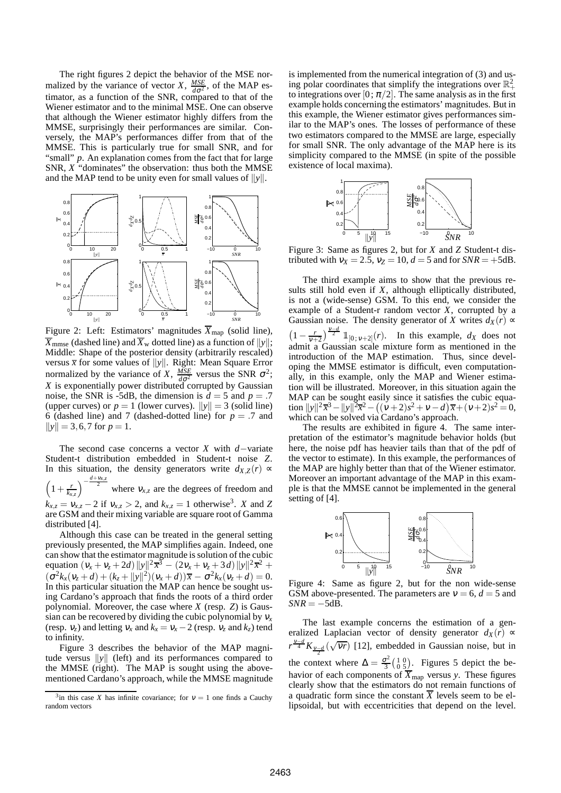The right figures 2 depict the behavior of the MSE normalized by the variance of vector *X*,  $\frac{MSE}{d\sigma^2}$ , of the MAP estimator, as a function of the SNR, compared to that of the Wiener estimator and to the minimal MSE. One can observe that although the Wiener estimator highly differs from the MMSE, surprisingly their performances are similar. Conversely, the MAP's performances differ from that of the MMSE. This is particularly true for small SNR, and for "small" *p*. An explanation comes from the fact that for large SNR, *X* "dominates" the observation: thus both the MMSE and the MAP tend to be unity even for small values of  $||y||$ .



Figure 2: Left: Estimators' magnitudes  $\overline{X}_{\text{map}}$  (solid line),  $\overline{X}_{mmse}$  (dashed line) and  $\overline{X}_{w}$  dotted line) as a function of  $||y||$ ; Middle: Shape of the posterior density (arbitrarily rescaled) versus  $\bar{x}$  for some values of  $||y||$ . Right: Mean Square Error normalized by the variance of *X*,  $\frac{MSE}{d\sigma^2}$  versus the SNR  $\sigma^2$ ; *X* is exponentially power distributed corrupted by Gaussian noise, the SNR is -5dB, the dimension is  $d = 5$  and  $p = .7$ (upper curves) or  $p = 1$  (lower curves).  $||y|| = 3$  (solid line) 6 (dashed line) and 7 (dashed-dotted line) for  $p = .7$  and  $||y|| = 3,6,7$  for  $p = 1$ .

The second case concerns a vector *X* with *d*−variate Student-t distribution embedded in Student-t noise *Z*. In this situation, the density generators write  $d_{X,Z}(r)$  ∝  $\int_{0}^{\frac{d+v_{x,z}}{2}}$  where  $v_{x,z}$  are the degrees of freedom and

 $\left(1+\frac{r}{k_{x,z}}\right)$  $k_{x,z} = v_{x,z} - 2$  if  $v_{x,z} > 2$ , and  $k_{x,z} = 1$  otherwise<sup>3</sup>. *X* and *Z* are GSM and their mixing variable are square root of Gamma distributed [4].

Although this case can be treated in the general setting previously presented, the MAP simplifies again. Indeed, one can show that the estimator magnitude is solution of the cubic equation  $(v_x + v_z + 2d) ||y||^2 \overline{x^3} - (2v_x + v_z + 3d) ||y||^2 \overline{x^2} +$  $(\sigma^2 k_x (v_z + d) + (k_z + ||y||^2)(v_x + d))\overline{x} - \sigma^2 k_x (v_z + d) = 0.$ In this particular situation the MAP can hence be sought using Cardano's approach that finds the roots of a third order polynomial. Moreover, the case where *X* (resp. *Z*) is Gaussian can be recovered by dividing the cubic polynomial by  $v_x$ (resp.  $v_z$ ) and letting  $v_x$  and  $k_x = v_x - 2$  (resp.  $v_z$  and  $k_z$ ) tend to infinity.

Figure 3 describes the behavior of the MAP magnitude versus  $\|v\|$  (left) and its performances compared to the MMSE (right). The MAP is sought using the abovementioned Cardano's approach, while the MMSE magnitude is implemented from the numerical integration of (3) and using polar coordinates that simplify the integrations over  $\mathbb{R}^2_+$ to integrations over [0;  $\pi/2$ ]. The same analysis as in the first example holds concerning the estimators' magnitudes. But in this example, the Wiener estimator gives performances similar to the MAP's ones. The losses of performance of these two estimators compared to the MMSE are large, especially for small SNR. The only advantage of the MAP here is its simplicity compared to the MMSE (in spite of the possible existence of local maxima).



Figure 3: Same as figures 2, but for *X* and *Z* Student-t distributed with  $v_x = 2.5$ ,  $v_z = 10$ ,  $d = 5$  and for  $SNR = +5dB$ .

The third example aims to show that the previous results still hold even if *X*, although elliptically distributed, is not a (wide-sense) GSM. To this end, we consider the example of a Student-r random vector *X*, corrupted by a Gaussian noise. The density generator of *X* writes  $d_X(r) \propto$  $\left(1 - \frac{r}{v+2}\right)^{\frac{v-d}{2}} \mathbb{1}_{[0;v+2]}(r)$ . In this example, *d<sub>X</sub>* does not admit a Gaussian scale mixture form as mentioned in the introduction of the MAP estimation. Thus, since developing the MMSE estimator is difficult, even computationally, in this example, only the MAP and Wiener estimation will be illustrated. Moreover, in this situation again the MAP can be sought easily since it satisfies the cubic equation  $||y||^2 \overline{x}^3 - ||y||^2 \overline{x}^2 - ((\nu+2)s^2 + \nu - d) \overline{x} + (\nu+2)s^2 = 0,$ which can be solved via Cardano's approach.

The results are exhibited in figure 4. The same interpretation of the estimator's magnitude behavior holds (but here, the noise pdf has heavier tails than that of the pdf of the vector to estimate). In this example, the performances of the MAP are highly better than that of the Wiener estimator. Moreover an important advantage of the MAP in this example is that the MMSE cannot be implemented in the general setting of [4].



Figure 4: Same as figure 2, but for the non wide-sense GSM above-presented. The parameters are  $v = 6$ ,  $d = 5$  and  $SNR = -5d\overline{B}$ .

The last example concerns the estimation of a generalized Laplacian vector of density generator  $d_X(r) \propto$  $r^{\frac{v-d}{4}} K_{\frac{v-d}{2}}(\sqrt{vr})$  [12], embedded in Gaussian noise, but in the context where  $\Delta = \frac{\sigma^2}{3}$  $\frac{\sigma^2}{3} \left( \begin{smallmatrix} 1 & 0 \\ 0 & 5 \end{smallmatrix} \right)$ . Figures 5 depict the behavior of each components of  $\overline{X}_{\text{map}}$  versus *y*. These figures clearly show that the estimators do not remain functions of a quadratic form since the constant  $\overline{X}$  levels seem to be ellipsoidal, but with eccentricities that depend on the level.

<sup>&</sup>lt;sup>3</sup>in this case *X* has infinite covariance; for  $v = 1$  one finds a Cauchy random vectors